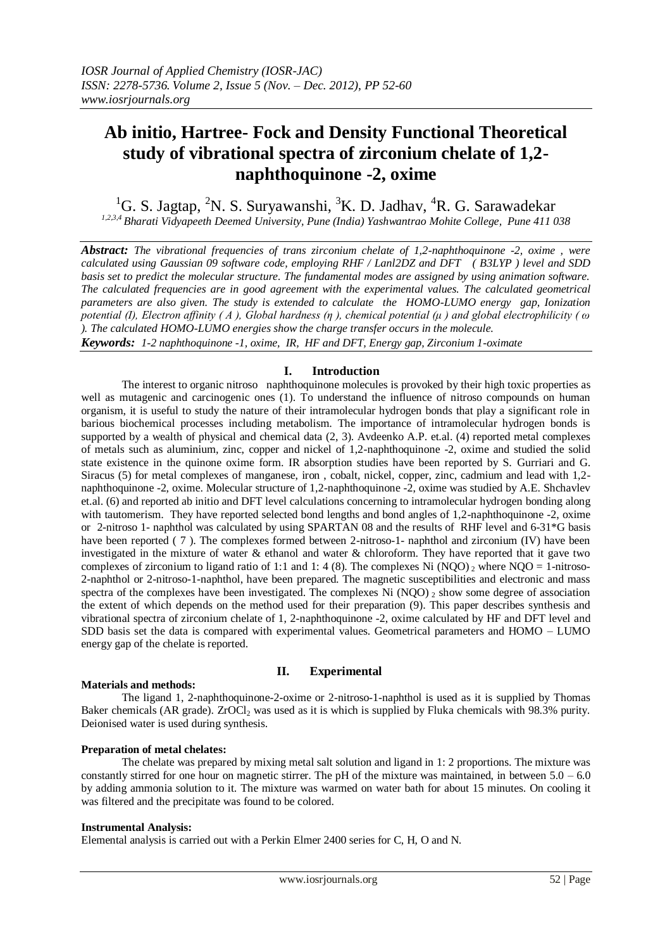# **Ab initio, Hartree- Fock and Density Functional Theoretical study of vibrational spectra of zirconium chelate of 1,2 naphthoquinone -2, oxime**

<sup>1</sup>G. S. Jagtap, <sup>2</sup>N. S. Suryawanshi, <sup>3</sup>K. D. Jadhav, <sup>4</sup>R. G. Sarawadekar *1,2,3,4 Bharati Vidyapeeth Deemed University, Pune (India) Yashwantrao Mohite College, Pune 411 038*

*Abstract: The vibrational frequencies of trans zirconium chelate of 1,2-naphthoquinone -2, oxime , were calculated using Gaussian 09 software code, employing RHF / Lanl2DZ and DFT ( B3LYP ) level and SDD basis set to predict the molecular structure. The fundamental modes are assigned by using animation software. The calculated frequencies are in good agreement with the experimental values. The calculated geometrical parameters are also given. The study is extended to calculate the HOMO-LUMO energy gap, Ionization potential (I), Electron affinity ( A ), Global hardness (η ), chemical potential (μ ) and global electrophilicity ( ω ). The calculated HOMO-LUMO energies show the charge transfer occurs in the molecule.*

*Keywords: 1-2 naphthoquinone -1, oxime, IR, HF and DFT, Energy gap, Zirconium 1-oximate*

# **I. Introduction**

The interest to organic nitroso naphthoquinone molecules is provoked by their high toxic properties as well as mutagenic and carcinogenic ones (1). To understand the influence of nitroso compounds on human organism, it is useful to study the nature of their intramolecular hydrogen bonds that play a significant role in barious biochemical processes including metabolism. The importance of intramolecular hydrogen bonds is supported by a wealth of physical and chemical data (2, 3). Avdeenko A.P. et.al. (4) reported metal complexes of metals such as aluminium, zinc, copper and nickel of 1,2-naphthoquinone -2, oxime and studied the solid state existence in the quinone oxime form. IR absorption studies have been reported by S. Gurriari and G. Siracus (5) for metal complexes of manganese, iron , cobalt, nickel, copper, zinc, cadmium and lead with 1,2 naphthoquinone -2, oxime. Molecular structure of 1,2-naphthoquinone -2, oxime was studied by A.E. Shchavlev et.al. (6) and reported ab initio and DFT level calculations concerning to intramolecular hydrogen bonding along with tautomerism. They have reported selected bond lengths and bond angles of 1,2-naphthoquinone -2, oxime or 2-nitroso 1- naphthol was calculated by using SPARTAN 08 and the results of RHF level and 6-31\*G basis have been reported (7). The complexes formed between 2-nitroso-1- naphthol and zirconium (IV) have been investigated in the mixture of water & ethanol and water & chloroform. They have reported that it gave two complexes of zirconium to ligand ratio of 1:1 and 1: 4 (8). The complexes Ni (NQO)  $_2$  where NQO = 1-nitroso-2-naphthol or 2-nitroso-1-naphthol, have been prepared. The magnetic susceptibilities and electronic and mass spectra of the complexes have been investigated. The complexes Ni  $(NOO)$   $_2$  show some degree of association the extent of which depends on the method used for their preparation (9). This paper describes synthesis and vibrational spectra of zirconium chelate of 1, 2-naphthoquinone -2, oxime calculated by HF and DFT level and SDD basis set the data is compared with experimental values. Geometrical parameters and HOMO – LUMO energy gap of the chelate is reported.

## **Materials and methods:**

# **II. Experimental**

The ligand 1, 2-naphthoquinone-2-oxime or 2-nitroso-1-naphthol is used as it is supplied by Thomas Baker chemicals (AR grade). ZrOCl<sub>2</sub> was used as it is which is supplied by Fluka chemicals with 98.3% purity. Deionised water is used during synthesis.

# **Preparation of metal chelates:**

The chelate was prepared by mixing metal salt solution and ligand in 1: 2 proportions. The mixture was constantly stirred for one hour on magnetic stirrer. The pH of the mixture was maintained, in between  $5.0 - 6.0$ by adding ammonia solution to it. The mixture was warmed on water bath for about 15 minutes. On cooling it was filtered and the precipitate was found to be colored.

## **Instrumental Analysis:**

Elemental analysis is carried out with a Perkin Elmer 2400 series for C, H, O and N.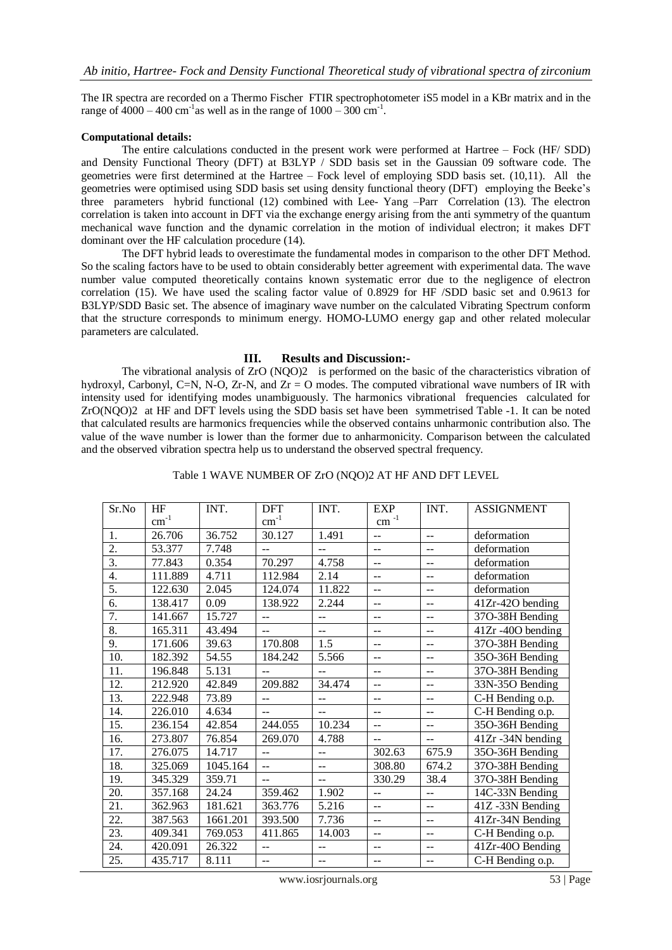The IR spectra are recorded on a Thermo Fischer FTIR spectrophotometer iS5 model in a KBr matrix and in the range of  $4000 - 400$  cm<sup>-1</sup> as well as in the range of  $1000 - 300$  cm<sup>-1</sup>.

## **Computational details:**

The entire calculations conducted in the present work were performed at Hartree – Fock (HF/ SDD) and Density Functional Theory (DFT) at B3LYP / SDD basis set in the Gaussian 09 software code. The geometries were first determined at the Hartree – Fock level of employing SDD basis set. (10,11). All the geometries were optimised using SDD basis set using density functional theory (DFT) employing the Beeke's three parameters hybrid functional (12) combined with Lee- Yang –Parr Correlation (13). The electron correlation is taken into account in DFT via the exchange energy arising from the anti symmetry of the quantum mechanical wave function and the dynamic correlation in the motion of individual electron; it makes DFT dominant over the HF calculation procedure (14).

The DFT hybrid leads to overestimate the fundamental modes in comparison to the other DFT Method. So the scaling factors have to be used to obtain considerably better agreement with experimental data. The wave number value computed theoretically contains known systematic error due to the negligence of electron correlation (15). We have used the scaling factor value of 0.8929 for HF /SDD basic set and 0.9613 for B3LYP/SDD Basic set. The absence of imaginary wave number on the calculated Vibrating Spectrum conform that the structure corresponds to minimum energy. HOMO-LUMO energy gap and other related molecular parameters are calculated.

#### **III. Results and Discussion:-**

The vibrational analysis of ZrO (NQO)2 is performed on the basic of the characteristics vibration of hydroxyl, Carbonyl, C=N, N-O, Zr-N, and Zr = O modes. The computed vibrational wave numbers of IR with intensity used for identifying modes unambiguously. The harmonics vibrational frequencies calculated for ZrO(NQO)2 at HF and DFT levels using the SDD basis set have been symmetrised Table -1. It can be noted that calculated results are harmonics frequencies while the observed contains unharmonic contribution also. The value of the wave number is lower than the former due to anharmonicity. Comparison between the calculated and the observed vibration spectra help us to understand the observed spectral frequency.

## Table 1 WAVE NUMBER OF ZrO (NQO)2 AT HF AND DFT LEVEL

| Sr.No             | HF        | INT.     | <b>DFT</b>     | INT.               | <b>EXP</b>               | INT.                      | <b>ASSIGNMENT</b>   |
|-------------------|-----------|----------|----------------|--------------------|--------------------------|---------------------------|---------------------|
|                   | $cm^{-1}$ |          | $cm^{-1}$      |                    | $\text{cm}^{-1}$         |                           |                     |
| 1.                | 26.706    | 36.752   | 30.127         | 1.491              | $\overline{a}$           | $\sim$                    | deformation         |
| 2.                | 53.377    | 7.748    | $\overline{a}$ | 44                 | $-$                      | $-$                       | deformation         |
| 3.                | 77.843    | 0.354    | 70.297         | 4.758              | $-$                      | $-$                       | deformation         |
| 4.                | 111.889   | 4.711    | 112.984        | 2.14               | $\overline{a}$           | $\overline{\phantom{a}}$  | deformation         |
| 5.                | 122.630   | 2.045    | 124.074        | 11.822             | $-$                      | $\sim$ $\sim$             | deformation         |
| 6.                | 138.417   | 0.09     | 138.922        | 2.244              | --                       | $-$                       | 41Zr-42O bending    |
| 7.                | 141.667   | 15.727   | $-$            | $-$                |                          | $-$                       | 37O-38H Bending     |
| 8.                | 165.311   | 43.494   | $=$            | $\overline{a}$     | --                       | $\overline{\phantom{a}}$  | 41Zr -40O bending   |
| 9.                | 171.606   | 39.63    | 170.808        | 1.5                | $-$                      | $\overline{\phantom{a}}$  | 37O-38H Bending     |
| 10.               | 182.392   | 54.55    | 184.242        | 5.566              | $-$                      | $-$                       | 35O-36H Bending     |
| 11.               | 196.848   | 5.131    | $\overline{a}$ | $-$                |                          | $-1$                      | 37O-38H Bending     |
| 12.               | 212.920   | 42.849   | 209.882        | 34.474             | $-$                      | $\mathbf{u}$              | 33N-35O Bending     |
| 13.               | 222.948   | 73.89    | $-1$           | $-$                | --                       | $\mathbf{u}$              | C-H Bending o.p.    |
| 14.               | 226.010   | 4.634    | $=$            | $-$                |                          | $-$                       | C-H Bending o.p.    |
| 15.               | 236.154   | 42.854   | 244.055        | 10.234             |                          | $-$                       | 35O-36H Bending     |
| 16.               | 273.807   | 76.854   | 269.070        | 4.788              | $-$                      | $\mathbf{u}$              | 41Zr -34N bending   |
| 17.               | 276.075   | 14.717   | $\overline{a}$ | $\overline{a}$     | 302.63                   | 675.9                     | 35O-36H Bending     |
| 18.               | 325.069   | 1045.164 | $\overline{a}$ | $\overline{a}$     | 308.80                   | 674.2                     | 37O-38H Bending     |
| 19.               | 345.329   | 359.71   | $\overline{a}$ | ш.,                | 330.29                   | 38.4                      | 37O-38H Bending     |
| 20.               | 357.168   | 24.24    | 359.462        | 1.902              | $\overline{a}$           | $\mathbb{L}^{\mathbb{L}}$ | $14C-33N$ Bending   |
| 21.               | 362.963   | 181.621  | 363.776        | 5.216              | $\overline{\phantom{a}}$ | $\mathbb{L}^{\mathbb{L}}$ | $41Z - 33N$ Bending |
| $\overline{22}$ . | 387.563   | 1661.201 | 393.500        | $\overline{7.7}36$ | $-$                      | $-$                       | $41Zr-34N$ Bending  |
| $\overline{23}$ . | 409.341   | 769.053  | 411.865        | 14.003             | <u></u>                  | $\overline{a}$            | C-H Bending o.p.    |
| 24.               | 420.091   | 26.322   | $\overline{a}$ | $\overline{a}$     | $-$                      | $-$                       | 41Zr-40O Bending    |
| 25.               | 435.717   | 8.111    | $\frac{1}{2}$  | $\overline{a}$     | $\overline{a}$           | $\mathbb{L}^{\mathbb{L}}$ | C-H Bending o.p.    |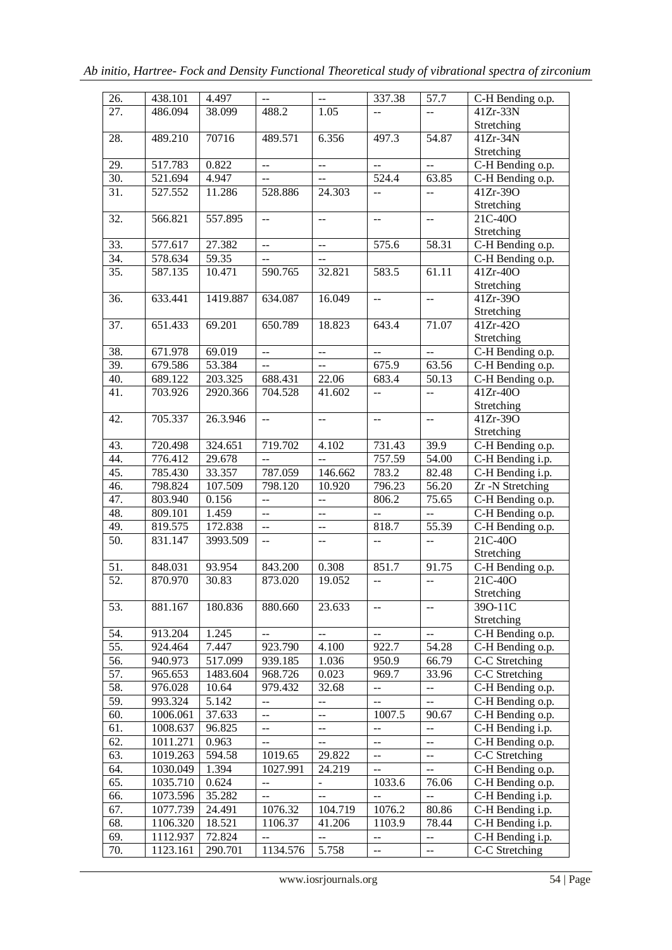| $\overline{26}$ . | 438.101  | 4.497    | $\overline{a}$ | $\mathbb{H}^{\mathbb{Z}}$ | 337.38                                              | 57.7                                          | C-H Bending o.p.               |
|-------------------|----------|----------|----------------|---------------------------|-----------------------------------------------------|-----------------------------------------------|--------------------------------|
| 27.               | 486.094  | 38.099   | 488.2          | 1.05                      | $\mathord{\hspace{1pt}\text{--}\hspace{1pt}}$       | $\mathord{\hspace{1pt}\text{--}\hspace{1pt}}$ | $41Zr-33N$                     |
|                   |          |          |                |                           |                                                     |                                               | Stretching                     |
| 28.               | 489.210  | 70716    | 489.571        | 6.356                     | 497.3                                               | 54.87                                         | 41Zr-34N                       |
|                   |          |          |                |                           |                                                     |                                               | Stretching                     |
| 29.               | 517.783  | 0.822    | $\mathbf{u}$   | $-$                       | $\sim$ $\sim$                                       | $\mathbb{L} \mathbb{L}$                       | C-H Bending o.p.               |
| $\overline{30}$ . | 521.694  | 4.947    | $- -$          | $\overline{a}$            | 524.4                                               | 63.85                                         | C-H Bending o.p.               |
| $\overline{31}$ . | 527.552  | 11.286   | 528.886        | 24.303                    |                                                     |                                               | 41Zr-39O                       |
|                   |          |          |                |                           | $\overline{a}$                                      | $\overline{\phantom{a}}$                      |                                |
|                   |          |          |                |                           |                                                     |                                               | Stretching                     |
| 32.               | 566.821  | 557.895  | $- -$          | $-$                       | $\mathbf{u}$                                        | $\omega\omega$                                | 21C-40O                        |
|                   |          |          |                |                           |                                                     |                                               | Stretching                     |
| 33.               | 577.617  | 27.382   | $-$            | $-$                       | 575.6                                               | 58.31                                         | C-H Bending o.p.               |
| 34.               | 578.634  | 59.35    | $-$            | $-$                       |                                                     |                                               | C-H Bending o.p.               |
| $\overline{35}$ . | 587.135  | 10.471   | 590.765        | 32.821                    | 583.5                                               | 61.11                                         | $41Zr-40O$                     |
|                   |          |          |                |                           |                                                     |                                               | Stretching                     |
| 36.               | 633.441  | 1419.887 | 634.087        | 16.049                    | $\mathbf{u}$                                        | $\mathbb{L} \mathbb{L}$                       | 41Zr-39O                       |
|                   |          |          |                |                           |                                                     |                                               | Stretching                     |
| $\overline{37}$ . | 651.433  | 69.201   | 650.789        | 18.823                    | 643.4                                               | 71.07                                         | 41Zr-42O                       |
|                   |          |          |                |                           |                                                     |                                               | Stretching                     |
| 38.               | 671.978  | 69.019   | LL.            | $\overline{a}$            | $\ddot{\phantom{a}}$                                | $\mathbb{L}^2$                                | C-H Bending o.p.               |
| 39.               | 679.586  | 53.384   | $\overline{a}$ | Ξ.                        | 675.9                                               | 63.56                                         | C-H Bending o.p.               |
| 40.               | 689.122  | 203.325  | 688.431        | 22.06                     | 683.4                                               | 50.13                                         | C-H Bending o.p.               |
| 41.               | 703.926  | 2920.366 | 704.528        | 41.602                    | $\overline{a}$                                      | $\ddotsc$                                     | 41Zr-40O                       |
|                   |          |          |                |                           |                                                     |                                               | Stretching                     |
| 42.               | 705.337  | 26.3.946 | $\overline{a}$ | $\mathbb{L}^{\mathbb{L}}$ | $\overline{a}$                                      | $\sim$                                        | 41Zr-39O                       |
|                   |          |          |                |                           |                                                     |                                               | Stretching                     |
| 43.               | 720.498  | 324.651  | 719.702        | 4.102                     | 731.43                                              | 39.9                                          | C-H Bending o.p.               |
| 44.               | 776.412  | 29.678   | $\frac{1}{2}$  |                           | 757.59                                              | 54.00                                         | $\overline{C}$ -H Bending i.p. |
| 45.               | 785.430  | 33.357   | 787.059        | 146.662                   | 783.2                                               | 82.48                                         | $\overline{C}$ -H Bending i.p. |
| 46.               | 798.824  | 107.509  | 798.120        | 10.920                    | 796.23                                              | 56.20                                         | Zr -N Stretching               |
| 47.               | 803.940  | 0.156    | $\overline{a}$ | $\overline{a}$            | 806.2                                               | 75.65                                         | C-H Bending o.p.               |
| 48.               | 809.101  | 1.459    | $\overline{a}$ | $\overline{a}$            |                                                     | $\omega_{\rm{m}}$                             | C-H Bending o.p.               |
|                   | 819.575  | 172.838  |                | $\overline{a}$            | 818.7                                               |                                               |                                |
| 49.               |          |          | $\overline{a}$ |                           |                                                     | 55.39                                         | C-H Bending o.p.<br>21C-40O    |
| 50.               | 831.147  | 3993.509 | $\mathbf{u}$   | $-$                       | $\mathbf{u}$                                        | $\mathbb{L}^2$                                |                                |
|                   |          |          |                |                           |                                                     |                                               | Stretching                     |
| 51.               | 848.031  | 93.954   | 843.200        | 0.308                     | 851.7                                               | 91.75                                         | C-H Bending o.p.               |
| 52.               | 870.970  | 30.83    | 873.020        | 19.052                    | $\mathord{\hspace{1pt}\text{--}\hspace{1pt}}$       | $\mathord{\hspace{1pt}\text{--}\hspace{1pt}}$ | 21C-40O                        |
|                   |          |          |                |                           |                                                     |                                               | Stretching                     |
| 53.               | 881.167  | 180.836  | 880.660        | 23.633                    | $\hspace{0.05cm} -\hspace{0.05cm} -\hspace{0.05cm}$ | $\overline{\phantom{m}}$                      | 390-11C                        |
|                   |          |          |                |                           |                                                     |                                               | Stretching                     |
| 54.               | 913.204  | 1.245    | $\overline{a}$ | --                        | $\mathbb{L} \mathbb{L}$                             | $\mathbb{L}^{\perp}$                          | C-H Bending o.p.               |
| 55.               | 924.464  | 7.447    | 923.790        | 4.100                     | 922.7                                               | 54.28                                         | C-H Bending o.p.               |
| 56.               | 940.973  | 517.099  | 939.185        | 1.036                     | 950.9                                               | 66.79                                         | C-C Stretching                 |
| 57.               | 965.653  | 1483.604 | 968.726        | 0.023                     | 969.7                                               | 33.96                                         | C-C Stretching                 |
| 58.               | 976.028  | 10.64    | 979.432        | 32.68                     | $\mathbb{H}^{\perp}$                                | 44                                            | C-H Bending o.p.               |
| 59.               | 993.324  | 5.142    | --             | --                        | $\mathord{\hspace{1pt}\text{--}\hspace{1pt}}$       | $\mathbb{L}^{\perp}$                          | C-H Bending o.p.               |
| 60.               | 1006.061 | 37.633   | $\overline{a}$ | --                        | 1007.5                                              | 90.67                                         | C-H Bending o.p.               |
| 61.               | 1008.637 | 96.825   | --             | --                        | $\overline{\phantom{m}}$                            | $\mathord{\hspace{1pt}\text{--}\hspace{1pt}}$ | C-H Bending i.p.               |
| 62.               | 1011.271 | 0.963    | --             | --                        | $\overline{\phantom{m}}$                            | $\overline{\phantom{m}}$                      | C-H Bending o.p.               |
| 63.               | 1019.263 | 594.58   | 1019.65        | 29.822                    | $\overline{\phantom{m}}$                            | $\overline{\phantom{m}}$                      | C-C Stretching                 |
| 64.               | 1030.049 | 1.394    | 1027.991       | 24.219                    |                                                     | $\mathbb{L} \mathbb{L}$                       | C-H Bending o.p.               |
|                   |          |          |                |                           | $\overline{\phantom{m}}$                            |                                               |                                |
| 65.               | 1035.710 | 0.624    | $-$            | $\blacksquare$            | 1033.6                                              | 76.06                                         | C-H Bending o.p.               |
| 66.               | 1073.596 | 35.282   | $\overline{a}$ | $\overline{a}$            |                                                     | $\overline{\phantom{a}}$                      | C-H Bending i.p.               |
| 67.               | 1077.739 | 24.491   | 1076.32        | 104.719                   | 1076.2                                              | 80.86                                         | C-H Bending i.p.               |
| 68.               | 1106.320 | 18.521   | 1106.37        | 41.206                    | 1103.9                                              | 78.44                                         | C-H Bending i.p.               |
| 69.               | 1112.937 | 72.824   |                |                           | $\overline{\phantom{m}}$                            | $\overline{\phantom{m}}$                      | C-H Bending i.p.               |
| 70.               | 1123.161 | 290.701  | 1134.576       | 5.758                     | $\mathbb{H}^{\perp}$                                | 44                                            | C-C Stretching                 |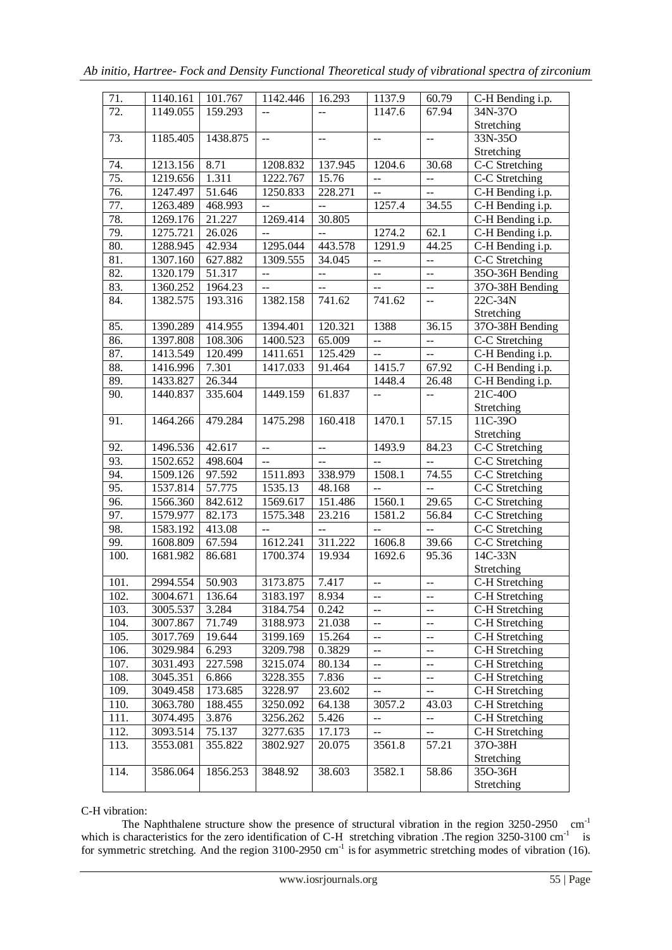| 71.               | 1140.161             | 101.767          | 1142.446                 | 16.293                   | 1137.9                                        | 60.79                                         | C-H Bending i.p.                 |
|-------------------|----------------------|------------------|--------------------------|--------------------------|-----------------------------------------------|-----------------------------------------------|----------------------------------|
| $\overline{72}$ . | 1149.055             | 159.293          | $\mathbf{u}$             | $\overline{a}$           | 1147.6                                        | 67.94                                         | 34N-37O                          |
|                   |                      |                  |                          |                          |                                               |                                               | Stretching                       |
| 73.               | 1185.405             | 1438.875         | $\overline{a}$           | $\overline{a}$           | $\overline{a}$                                | $\mathbf{u}$                                  | 33N-35O                          |
|                   |                      |                  |                          |                          |                                               |                                               | Stretching                       |
| 74.               | 1213.156             | 8.71             | 1208.832                 | 137.945                  | 1204.6                                        | 30.68                                         | C-C Stretching                   |
| $\overline{75}$ . | 1219.656             | 1.311            | 1222.767                 | 15.76                    | $\overline{a}$                                | $\overline{a}$                                | C-C Stretching                   |
| 76.               | 1247.497             | 51.646           | 1250.833                 | 228.271                  | $\mathbb{L}^{\mathbb{L}}$                     | $\overline{a}$                                | C-H Bending i.p.                 |
| 77.               | 1263.489             | 468.993          | $\overline{a}$           | --                       | 1257.4                                        | 34.55                                         | C-H Bending i.p.                 |
| 78.               | 1269.176             | 21.227           | 1269.414                 | 30.805                   |                                               |                                               | C-H Bending i.p.                 |
| 79.               | 1275.721             | 26.026           | $\overline{a}$           | $\overline{a}$           | 1274.2                                        | 62.1                                          | C-H Bending i.p.                 |
| 80.               | 1288.945             | 42.934           | 1295.044                 | 443.578                  | 1291.9                                        | 44.25                                         | C-H Bending i.p.                 |
| 81.               | 1307.160             | 627.882          | 1309.555                 | 34.045                   | $\overline{a}$                                | ÷÷                                            | C-C Stretching                   |
| 82.               | 1320.179             | 51.317           | $\overline{\phantom{a}}$ | $\overline{a}$           | $\mathord{\hspace{1pt}\text{--}\hspace{1pt}}$ | $-$                                           | 35O-36H Bending                  |
| 83.               | 1360.252             | 1964.23          | $\overline{\phantom{a}}$ | $\overline{\phantom{m}}$ | $\mathbb{L} \mathbb{L}$                       | $\mathord{\hspace{1pt}\text{--}\hspace{1pt}}$ | 37O-38H Bending                  |
| 84.               | 1382.575             | 193.316          | 1382.158                 | 741.62                   | 741.62                                        | $\mathord{\hspace{1pt}\text{--}\hspace{1pt}}$ | $22C-34N$                        |
|                   |                      |                  |                          |                          |                                               |                                               | Stretching                       |
| 85.               | 1390.289             | 414.955          | 1394.401                 | 120.321                  | 1388                                          | 36.15                                         | 37O-38H Bending                  |
| 86.               | 1397.808             | 108.306          | 1400.523                 | 65.009                   | $\overline{\phantom{a}}$                      | $\overline{a}$                                | C-C Stretching                   |
| 87.               | 1413.549             | 120.499          | 1411.651                 | 125.429                  | $\mathord{\hspace{1pt}\text{--}\hspace{1pt}}$ | $\mathbb{L}^{\perp}$                          | C-H Bending i.p.                 |
| 88.               | 1416.996             | 7.301            | 1417.033                 | 91.464                   | 1415.7                                        | 67.92                                         | C-H Bending i.p.                 |
| 89.               | 1433.827             | 26.344           |                          |                          | 1448.4                                        | 26.48                                         | C-H Bending i.p.                 |
| 90.               | 1440.837             | 335.604          | 1449.159                 | 61.837                   | $\overline{a}$                                | $\mathord{\hspace{1pt}\text{--}\hspace{1pt}}$ | $\overline{21}$ C-40O            |
|                   |                      |                  |                          |                          |                                               |                                               | Stretching                       |
| 91.               | 1464.266             | 479.284          | 1475.298                 | 160.418                  | 1470.1                                        | 57.15                                         | 11C-39O                          |
|                   |                      |                  |                          |                          |                                               |                                               | Stretching                       |
|                   |                      |                  |                          |                          |                                               |                                               |                                  |
| 92.               | 1496.536             | 42.617           | $\overline{\phantom{a}}$ | --                       | 1493.9                                        | 84.23                                         | C-C Stretching                   |
| 93.               | 1502.652             | 498.604          | $-$                      | $\overline{\phantom{a}}$ | --                                            | --                                            | C-C Stretching                   |
| 94.               | 1509.126             | 97.592           | 1511.893                 | 338.979                  | 1508.1                                        | 74.55                                         | C-C Stretching                   |
| 95.               | 1537.814             | 57.775           | 1535.13                  | 48.168                   | 44                                            | $\overline{a}$                                | $\overline{C-C}$ Stretching      |
| 96.               | 1566.360             | 842.612          | 1569.617                 | 151.486                  | 1560.1                                        | 29.65                                         | $\overline{C-C}$ Stretching      |
| 97.               | 1579.977             | 82.173           | 1575.348                 | 23.216                   | 1581.2                                        |                                               |                                  |
| 98.               | 1583.192             | 413.08           | $\overline{\phantom{a}}$ | --                       | $\overline{\phantom{m}}$                      | 56.84<br>$\overline{a}$                       | $\overline{C-C}$ Stretching      |
| 99.               | 1608.809             | 67.594           | 1612.241                 | 311.222                  | 1606.8                                        | 39.66                                         | $\overline{C-C}$ Stretching      |
| 100.              | 1681.982             | 86.681           | 1700.374                 | 19.934                   | 1692.6                                        | 95.36                                         | C-C Stretching<br>$14C-33N$      |
|                   |                      |                  |                          |                          |                                               |                                               | Stretching                       |
| 101.              | 2994.554             | 50.903           | 3173.875                 | 7.417                    | $\mathord{\hspace{1pt}\text{--}\hspace{1pt}}$ | $\mathord{\hspace{1pt}\text{--}\hspace{1pt}}$ | C-H Stretching                   |
| 102.              | 3004.671             | 136.64           | 3183.197                 | 8.934                    | $\overline{a}$                                | --                                            | C-H Stretching                   |
| 103.              | 3005.537             | 3.284            | 3184.754                 | 0.242                    | $-$                                           | --                                            | C-H Stretching                   |
| 104.              | 3007.867             | 71.749           | 3188.973                 | 21.038                   | --                                            | --                                            | C-H Stretching                   |
| 105.              |                      | 19.644           | 3199.169                 |                          | $-$                                           | --                                            |                                  |
| 106.              | 3017.769<br>3029.984 | 6.293            | 3209.798                 | 15.264<br>0.3829         | $-$                                           | --                                            | C-H Stretching<br>C-H Stretching |
| 107.              |                      |                  |                          |                          | $-$                                           | --                                            |                                  |
| 108.              | 3031.493<br>3045.351 | 227.598<br>6.866 | 3215.074<br>3228.355     | 80.134<br>7.836          | $-$                                           | --                                            | C-H Stretching<br>C-H Stretching |
| 109.              |                      | 173.685          | 3228.97                  | 23.602                   | $\overline{\phantom{a}}$                      | --                                            |                                  |
|                   | 3049.458             | 188.455          | 3250.092                 |                          |                                               | 43.03                                         | C-H Stretching                   |
| 110.              | 3063.780             |                  |                          | 64.138                   | 3057.2<br>--                                  | --                                            | C-H Stretching                   |
| 111.              | 3074.495             | 3.876            | 3256.262                 | 5.426                    | $-$                                           | --                                            | C-H Stretching                   |
| 112.              | 3093.514             | 75.137           | 3277.635                 | 17.173                   |                                               |                                               | C-H Stretching                   |
| 113.              | 3553.081             | 355.822          | 3802.927                 | 20.075                   | 3561.8                                        | 57.21                                         | 37O-38H<br>Stretching            |
| 114.              | 3586.064             | 1856.253         | 3848.92                  | 38.603                   | 3582.1                                        | 58.86                                         | 35O-36H                          |

C-H vibration:

The Naphthalene structure show the presence of structural vibration in the region  $3250-2950$  cm<sup>-1</sup> which is characteristics for the zero identification of C-H stretching vibration .The region  $3250-3100$  cm<sup>-1</sup> is for symmetric stretching. And the region  $3100-2950$  cm<sup>-1</sup> is for asymmetric stretching modes of vibration (16).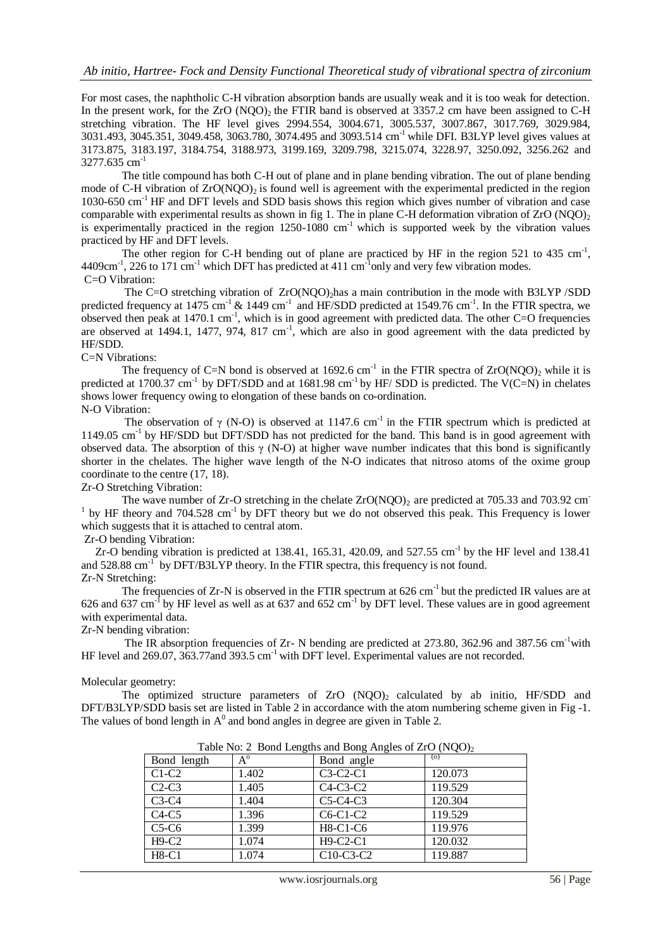For most cases, the naphtholic C-H vibration absorption bands are usually weak and it is too weak for detection. In the present work, for the  $ZrO (NOO)$ , the FTIR band is observed at 3357.2 cm have been assigned to C-H stretching vibration. The HF level gives 2994.554, 3004.671, 3005.537, 3007.867, 3017.769, 3029.984, 3031.493, 3045.351, 3049.458, 3063.780, 3074.495 and 3093.514 cm-1 while DFI. B3LYP level gives values at 3173.875, 3183.197, 3184.754, 3188.973, 3199.169, 3209.798, 3215.074, 3228.97, 3250.092, 3256.262 and 3277.635 cm<sup>-1</sup>

The title compound has both C-H out of plane and in plane bending vibration. The out of plane bending mode of C-H vibration of  $ZrO(NOO)_2$  is found well is agreement with the experimental predicted in the region 1030-650 cm-1 HF and DFT levels and SDD basis shows this region which gives number of vibration and case comparable with experimental results as shown in fig 1. The in plane C-H deformation vibration of  $ZrO (NQO)<sub>2</sub>$ is experimentally practiced in the region  $1250-1080$  cm<sup>-1</sup> which is supported week by the vibration values practiced by HF and DFT levels.

The other region for C-H bending out of plane are practiced by HF in the region 521 to 435 cm<sup>-1</sup>,  $4409 \text{cm}^{-1}$ , 226 to 171 cm<sup>-1</sup> which DFT has predicted at 411 cm<sup>-1</sup>only and very few vibration modes. C=O Vibration:

The C=O stretching vibration of ZrO(NOO), has a main contribution in the mode with B3LYP /SDD predicted frequency at 1475 cm<sup>-1</sup> & 1449 cm<sup>-1</sup> and HF/SDD predicted at 1549.76 cm<sup>-1</sup>. In the FTIR spectra, we observed then peak at 1470.1 cm<sup>-1</sup>, which is in good agreement with predicted data. The other C=O frequencies are observed at 1494.1, 1477, 974, 817 cm $^{-1}$ , which are also in good agreement with the data predicted by HF/SDD.

# C=N Vibrations:

The frequency of C=N bond is observed at  $1692.6 \text{ cm}^{-1}$  in the FTIR spectra of ZrO(NOO)<sub>2</sub> while it is predicted at 1700.37 cm<sup>-1</sup> by DFT/SDD and at 1681.98 cm<sup>-1</sup> by HF/ SDD is predicted. The V(C=N) in chelates shows lower frequency owing to elongation of these bands on co-ordination. N-O Vibration:

The observation of  $\gamma$  (N-O) is observed at 1147.6 cm<sup>-1</sup> in the FTIR spectrum which is predicted at 1149.05 cm-1 by HF/SDD but DFT/SDD has not predicted for the band. This band is in good agreement with observed data. The absorption of this  $\gamma$  (N-O) at higher wave number indicates that this bond is significantly shorter in the chelates. The higher wave length of the N-O indicates that nitroso atoms of the oxime group coordinate to the centre (17, 18).

Zr-O Stretching Vibration:

The wave number of  $Zr-O$  stretching in the chelate  $ZrO(NOO)$  are predicted at 705.33 and 703.92 cm  $1$  by HF theory and 704.528 cm<sup>-1</sup> by DFT theory but we do not observed this peak. This Frequency is lower which suggests that it is attached to central atom.

# Zr-O bending Vibration:

Zr-O bending vibration is predicted at 138.41, 165.31, 420.09, and 527.55 cm<sup>-1</sup> by the HF level and 138.41 and 528.88 cm<sup>-1</sup> by DFT/B3LYP theory. In the FTIR spectra, this frequency is not found. Zr-N Stretching:

The frequencies of Zr-N is observed in the FTIR spectrum at 626 cm<sup>-1</sup> but the predicted IR values are at 626 and 637 cm<sup>-1</sup> by HF level as well as at 637 and 652 cm<sup>-1</sup> by DFT level. These values are in good agreement with experimental data.

Zr-N bending vibration:

The IR absorption frequencies of Zr- N bending are predicted at 273.80, 362.96 and 387.56 cm<sup>-1</sup>with HF level and 269.07, 363.77and 393.5 cm<sup>-1</sup> with DFT level. Experimental values are not recorded.

### Molecular geometry:

The optimized structure parameters of  $ZrO (NQO)_2$  calculated by ab initio, HF/SDD and DFT/B3LYP/SDD basis set are listed in Table 2 in accordance with the atom numbering scheme given in Fig -1. The values of bond length in  $A^0$  and bond angles in degree are given in Table 2.

| Bond length | $A^{\circ}$ | Bond angle  | (o)     |
|-------------|-------------|-------------|---------|
| $C1-C2$     | 1.402       | $C3-C2-C1$  | 120.073 |
| $C2-C3$     | 1.405       | $C4-C3-C2$  | 119.529 |
| $C3-C4$     | 1.404       | $C5-C4-C3$  | 120.304 |
| $C4-C5$     | 1.396       | $C6-C1-C2$  | 119.529 |
| $C5-C6$     | 1.399       | $H8-C1-C6$  | 119.976 |
| $H9-C2$     | 1.074       | H9-C2-C1    | 120.032 |
| $H8-C1$     | 1.074       | $C10-C3-C2$ | 119.887 |

Table No: 2 Bond Lengths and Bong Angles of ZrO (NQO)<sub>2</sub>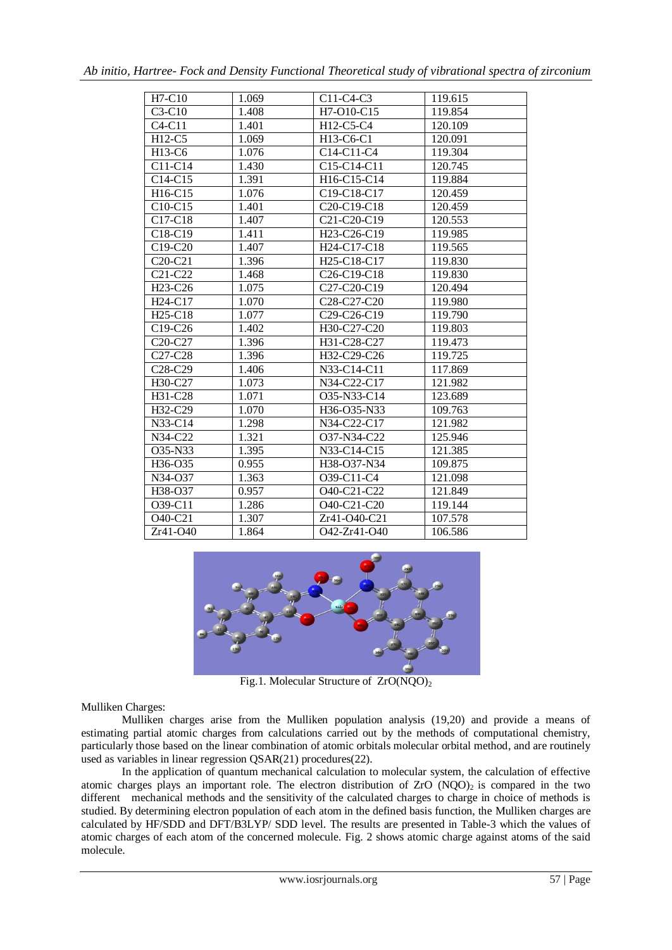| $H7-C10$                         | 1.069 | $C11-C4-C3$                                       | 119.615 |
|----------------------------------|-------|---------------------------------------------------|---------|
| $C3-C10$                         | 1.408 | H7-O10-C15                                        | 119.854 |
| $C4-C11$                         | 1.401 | H12-C5-C4                                         | 120.109 |
| $H12-C5$                         | 1.069 | H <sub>13</sub> -C <sub>6</sub> -C <sub>1</sub>   | 120.091 |
| H <sub>13</sub> -C <sub>6</sub>  | 1.076 | $C14-C11-C4$                                      | 119.304 |
| $C11-C14$                        | 1.430 | C <sub>15</sub> -C <sub>14</sub> -C <sub>11</sub> | 120.745 |
| $C14-C15$                        | 1.391 | H <sub>16</sub> -C <sub>15</sub> -C <sub>14</sub> | 119.884 |
| H16-C15                          | 1.076 | C19-C18-C17                                       | 120.459 |
| $C10-C15$                        | 1.401 | C <sub>20</sub> -C <sub>19</sub> -C <sub>18</sub> | 120.459 |
| C17-C18                          | 1.407 | C21-C20-C19                                       | 120.553 |
| C18-C19                          | 1.411 | H <sub>23</sub> -C <sub>26</sub> -C <sub>19</sub> | 119.985 |
| C19-C20                          | 1.407 | H24-C17-C18                                       | 119.565 |
| $C20-C21$                        | 1.396 | H <sub>25</sub> -C <sub>18</sub> -C <sub>17</sub> | 119.830 |
| C21-C22                          | 1.468 | C <sub>26</sub> -C <sub>19</sub> -C <sub>18</sub> | 119.830 |
| H <sub>23</sub> -C <sub>26</sub> | 1.075 | C <sub>27</sub> -C <sub>20</sub> -C <sub>19</sub> | 120.494 |
| H <sub>24</sub> -C <sub>17</sub> | 1.070 | C <sub>28</sub> -C <sub>27</sub> -C <sub>20</sub> | 119.980 |
| H <sub>25</sub> -C <sub>18</sub> | 1.077 | C <sub>29</sub> -C <sub>26</sub> -C <sub>19</sub> | 119.790 |
| C19-C26                          | 1.402 | H30-C27-C20                                       | 119.803 |
| C <sub>20</sub> -C <sub>27</sub> | 1.396 | H31-C28-C27                                       | 119.473 |
| C <sub>27</sub> -C <sub>28</sub> | 1.396 | H32-C29-C26                                       | 119.725 |
| C <sub>28</sub> -C <sub>29</sub> | 1.406 | N33-C14-C11                                       | 117.869 |
| H30-C27                          | 1.073 | N34-C22-C17                                       | 121.982 |
| H31-C28                          | 1.071 | O35-N33-C14                                       | 123.689 |
| H32-C29                          | 1.070 | H <sub>36</sub> -O <sub>35</sub> -N <sub>33</sub> | 109.763 |
| $N33-C14$                        | 1.298 | N34-C22-C17                                       | 121.982 |
| N34-C22                          | 1.321 | O37-N34-C22                                       | 125.946 |
| Q35-N33                          | 1.395 | N33-C14-C15                                       | 121.385 |
| H <sub>36</sub> -O <sub>35</sub> | 0.955 | H38-O37-N34                                       | 109.875 |
| N34-O37                          | 1.363 | O <sub>39</sub> -C <sub>11</sub> -C <sub>4</sub>  | 121.098 |
| H38-O37                          | 0.957 | O40-C21-C22                                       | 121.849 |
| O39-C11                          | 1.286 | O40-C21-C20                                       | 119.144 |
| O40-C21                          | 1.307 | Zr41-O40-C21                                      | 107.578 |
| Zr41-O40                         | 1.864 | O42-Zr41-O40                                      | 106.586 |



Fig.1. Molecular Structure of  $ZrO(NOO)<sub>2</sub>$ 

Mulliken Charges:

 Mulliken charges arise from the Mulliken population analysis (19,20) and provide a means of estimating [partial atomic charges](http://en.wikipedia.org/wiki/Partial_charge) from calculations carried out by the methods of [computational chemistry,](http://en.wikipedia.org/wiki/Computational_chemistry) particularly those based on the [linear combination of atomic orbitals molecular orbital method,](http://en.wikipedia.org/wiki/Linear_combination_of_atomic_orbitals_molecular_orbital_method) and are routinely used as variables in linear regression QSAR(21) procedures(22).

In the application of quantum mechanical calculation to molecular system, the calculation of effective atomic charges plays an important role. The electron distribution of  $ZrO (NOO)$  is compared in the two different mechanical methods and the sensitivity of the calculated charges to charge in choice of methods is studied. By determining electron population of each atom in the defined basis function, the Mulliken charges are calculated by HF/SDD and DFT/B3LYP/ SDD level. The results are presented in Table-3 which the values of atomic charges of each atom of the concerned molecule. Fig. 2 shows atomic charge against atoms of the said molecule.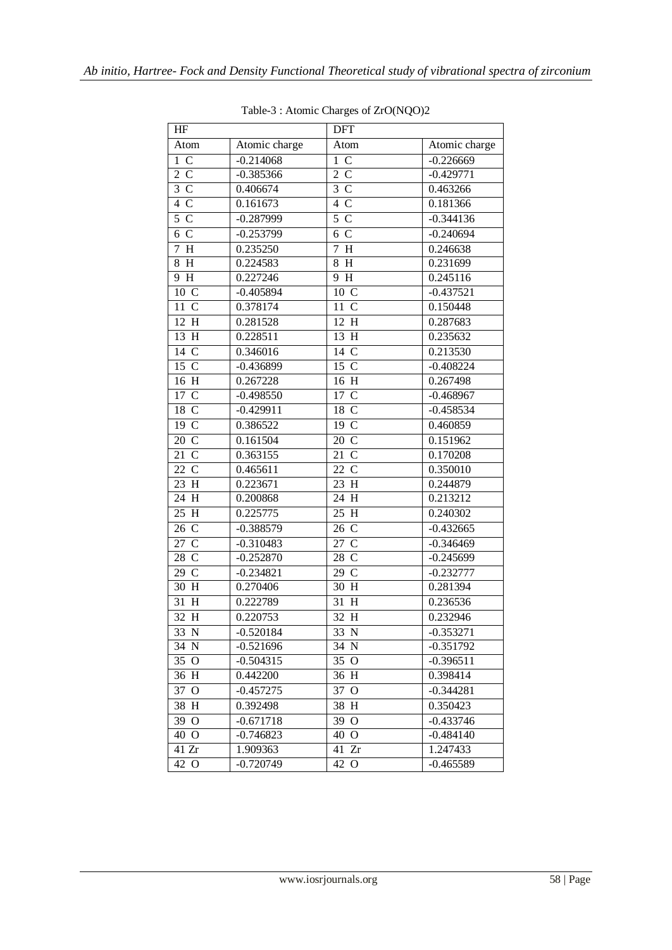| HF                  |               | <b>DFT</b>                       |               |
|---------------------|---------------|----------------------------------|---------------|
| Atom                | Atomic charge | Atom                             | Atomic charge |
| $1\,C$              | $-0.214068$   | $\mathcal{C}$<br>$\mathbf{1}$    | $-0.226669$   |
| 2 C                 | $-0.385366$   | $\overline{2}$ C                 | $-0.429771$   |
| $3\,C$              | 0.406674      | $\overline{3}$ C                 | 0.463266      |
| 4 C                 | 0.161673      | $4\text{ C}$                     | 0.181366      |
| 5 C                 | $-0.287999$   | $5 \text{ C}$                    | $-0.344136$   |
| 6 C                 | $-0.253799$   | 6 C                              | $-0.240694$   |
| 7H                  | 0.235250      | $\overline{7}$<br>$\overline{H}$ | 0.246638      |
| 8H                  | 0.224583      | $8\,$<br>H                       | 0.231699      |
| 9 H                 | 0.227246      | 9 H                              | 0.245116      |
| 10 C                | $-0.405894$   | 10 C                             | $-0.437521$   |
| 11 C                | 0.378174      | 11 C                             | 0.150448      |
| 12 H                | 0.281528      | 12 H                             | 0.287683      |
| 13H                 | 0.228511      | 13H                              | 0.235632      |
| 14 C                | 0.346016      | 14 C                             | 0.213530      |
| 15 C                | $-0.436899$   | 15 C                             | $-0.408224$   |
| 16 H                | 0.267228      | 16 H                             | 0.267498      |
| 17 C                | $-0.498550$   | 17 C                             | $-0.468967$   |
| 18 C                | $-0.429911$   | 18 C                             | $-0.458534$   |
| 19 <sup>C</sup>     | 0.386522      | 19 <sup>C</sup>                  | 0.460859      |
| 20 C                | 0.161504      | 20 C                             | 0.151962      |
| 21<br>$\mathcal{C}$ | 0.363155      | 21<br>$\mathcal{C}$              | 0.170208      |
| 22 C                | 0.465611      | 22 C                             | 0.350010      |
| 23 H                | 0.223671      | 23 H                             | 0.244879      |
| 24 H                | 0.200868      | 24 H                             | 0.213212      |
| 25 H                | 0.225775      | 25 H                             | 0.240302      |
| 26 C                | $-0.388579$   | 26 C                             | $-0.432665$   |
| 27 C                | $-0.310483$   | 27 C                             | $-0.346469$   |
| 28 C                | $-0.252870$   | 28 C                             | $-0.245699$   |
| 29 C                | $-0.234821$   | 29 C                             | $-0.232777$   |
| 30 H                | 0.270406      | 30 H                             | 0.281394      |
| 31<br>H             | 0.222789      | 31H                              | 0.236536      |
| 32<br>H             | 0.220753      | 32H                              | 0.232946      |
| 33 N                | $-0.520184$   | 33 N                             | $-0.353271$   |
| 34 N                | $-0.521696$   | 34 N                             | $-0.351792$   |
| 35 O                | $-0.504315$   | 35 O                             | $-0.396511$   |
| 36 H                | 0.442200      | 36 H                             | 0.398414      |
| 37 O                | $-0.457275$   | 37 O                             | $-0.344281$   |
| 38 H                | 0.392498      | 38 H                             | 0.350423      |
| 39 O                | $-0.671718$   | 39 O                             | $-0.433746$   |
| 40 O                | $-0.746823$   | 40 O                             | $-0.484140$   |
| 41 Zr               | 1.909363      | $\overline{4}1$ Zr               | 1.247433      |
| 42 O                | $-0.720749$   | 42 O                             | $-0.465589$   |

Table-3 : Atomic Charges of ZrO(NQO)2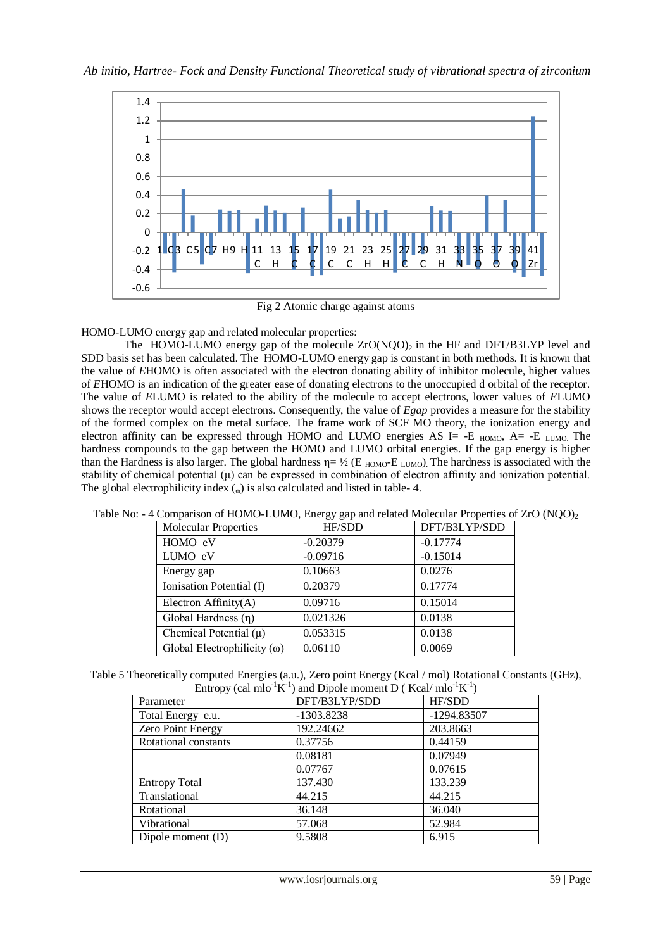

Fig 2 Atomic charge against atoms

HOMO-LUMO energy gap and related molecular properties:

The HOMO-LUMO energy gap of the molecule  $ZrO(NQO)_2$  in the HF and DFT/B3LYP level and SDD basis set has been calculated. The HOMO-LUMO energy gap is constant in both methods. It is known that the value of *E*HOMO is often associated with the electron donating ability of inhibitor molecule, higher values of *E*HOMO is an indication of the greater ease of donating electrons to the unoccupied d orbital of the receptor. The value of *E*LUMO is related to the ability of the molecule to accept electrons, lower values of *E*LUMO shows the receptor would accept electrons. Consequently, the value of *Egap* provides a measure for the stability of the formed complex on the metal surface. The frame work of SCF MO theory, the ionization energy and electron affinity can be expressed through HOMO and LUMO energies AS I= -E  $_{HOMO}$ , A= -E  $_{LUMO}$ . The hardness compounds to the gap between the HOMO and LUMO orbital energies. If the gap energy is higher than the Hardness is also larger. The global hardness  $\eta = \frac{1}{2}$  (E <sub>HOMO</sub>-E <sub>LUMO</sub>). The hardness is associated with the stability of chemical potential  $(\mu)$  can be expressed in combination of electron affinity and ionization potential. The global electrophilicity index  $\omega$  is also calculated and listed in table-4.

|                                    | $\sigma$ $\sigma$ $\tau$ |               |
|------------------------------------|--------------------------|---------------|
| <b>Molecular Properties</b>        | HF/SDD                   | DFT/B3LYP/SDD |
| HOMO eV                            | $-0.20379$               | $-0.17774$    |
| LUMO eV                            | $-0.09716$               | $-0.15014$    |
| Energy gap                         | 0.10663                  | 0.0276        |
| Ionisation Potential (I)           | 0.20379                  | 0.17774       |
| Electron Affinity $(A)$            | 0.09716                  | 0.15014       |
| Global Hardness $(n)$              | 0.021326                 | 0.0138        |
| Chemical Potential $(\mu)$         | 0.053315                 | 0.0138        |
| Global Electrophilicity $(\omega)$ | 0.06110                  | 0.0069        |

Table No: - 4 Comparison of HOMO-LUMO, Energy gap and related Molecular Properties of ZrO (NQO)<sub>2</sub>

Table 5 Theoretically computed Energies (a.u.), Zero point Energy (Kcal / mol) Rotational Constants (GHz), Entropy (cal mlo<sup>-1</sup>K<sup>-1</sup>) and Dipole moment D (Kcal/ mlo<sup>-1</sup>K<sup>-1</sup>)

| $\mu$ and $\mu$ and $\mu$ and $\mu$ and $\mu$ interference $\mu$ and $\mu$ and $\mu$ |               |             |  |  |  |
|--------------------------------------------------------------------------------------|---------------|-------------|--|--|--|
| Parameter                                                                            | DFT/B3LYP/SDD | HF/SDD      |  |  |  |
| Total Energy e.u.                                                                    | -1303.8238    | -1294.83507 |  |  |  |
| Zero Point Energy                                                                    | 192.24662     | 203.8663    |  |  |  |
| Rotational constants                                                                 | 0.37756       | 0.44159     |  |  |  |
|                                                                                      | 0.08181       | 0.07949     |  |  |  |
|                                                                                      | 0.07767       | 0.07615     |  |  |  |
| <b>Entropy Total</b>                                                                 | 137.430       | 133.239     |  |  |  |
| Translational                                                                        | 44.215        | 44.215      |  |  |  |
| Rotational                                                                           | 36.148        | 36.040      |  |  |  |
| Vibrational                                                                          | 57.068        | 52.984      |  |  |  |
| Dipole moment (D)                                                                    | 9.5808        | 6.915       |  |  |  |